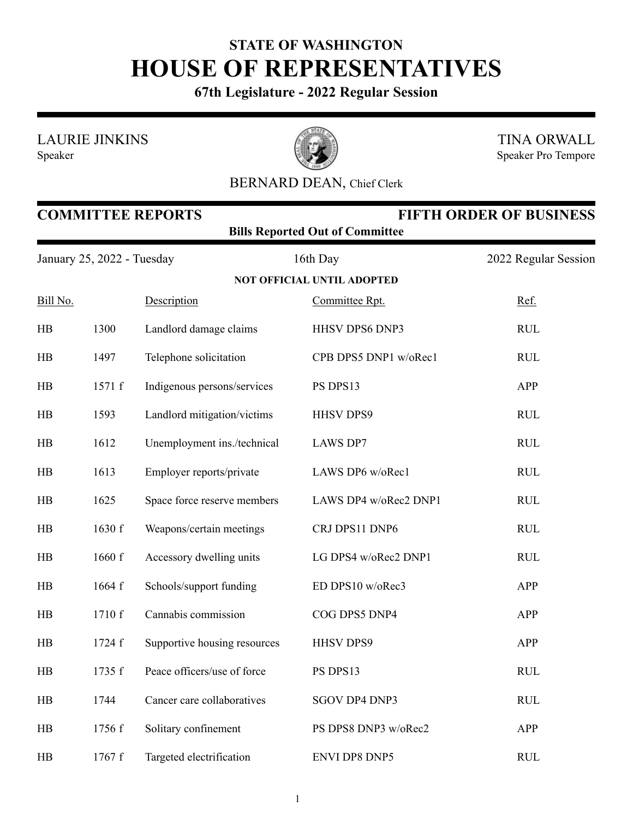## **STATE OF WASHINGTON HOUSE OF REPRESENTATIVES**

**67th Legislature - 2022 Regular Session**

LAURIE JINKINS

Speaker



TINA ORWALL Speaker Pro Tempore

## BERNARD DEAN, Chief Clerk

| <b>COMMITTEE REPORTS</b><br><b>FIFTH ORDER OF BUSINESS</b><br><b>Bills Reported Out of Committee</b> |        |                              |                                   |                      |  |  |
|------------------------------------------------------------------------------------------------------|--------|------------------------------|-----------------------------------|----------------------|--|--|
| January 25, 2022 - Tuesday                                                                           |        |                              | 16th Day                          | 2022 Regular Session |  |  |
|                                                                                                      |        |                              | <b>NOT OFFICIAL UNTIL ADOPTED</b> |                      |  |  |
| Bill No.                                                                                             |        | Description                  | Committee Rpt.                    | Ref.                 |  |  |
| HB                                                                                                   | 1300   | Landlord damage claims       | HHSV DPS6 DNP3                    | <b>RUL</b>           |  |  |
| HB                                                                                                   | 1497   | Telephone solicitation       | CPB DPS5 DNP1 w/oRec1             | <b>RUL</b>           |  |  |
| HB                                                                                                   | 1571 f | Indigenous persons/services  | PS DPS13                          | <b>APP</b>           |  |  |
| HB                                                                                                   | 1593   | Landlord mitigation/victims  | <b>HHSV DPS9</b>                  | <b>RUL</b>           |  |  |
| HB                                                                                                   | 1612   | Unemployment ins./technical  | <b>LAWS DP7</b>                   | <b>RUL</b>           |  |  |
| HB                                                                                                   | 1613   | Employer reports/private     | LAWS DP6 w/oRec1                  | <b>RUL</b>           |  |  |
| HB                                                                                                   | 1625   | Space force reserve members  | LAWS DP4 w/oRec2 DNP1             | <b>RUL</b>           |  |  |
| HB                                                                                                   | 1630 f | Weapons/certain meetings     | CRJ DPS11 DNP6                    | <b>RUL</b>           |  |  |
| HB                                                                                                   | 1660 f | Accessory dwelling units     | LG DPS4 w/oRec2 DNP1              | <b>RUL</b>           |  |  |
| HB                                                                                                   | 1664 f | Schools/support funding      | ED DPS10 w/oRec3                  | <b>APP</b>           |  |  |
| HB                                                                                                   | 1710 f | Cannabis commission          | COG DPS5 DNP4                     | <b>APP</b>           |  |  |
| HB                                                                                                   | 1724 f | Supportive housing resources | <b>HHSV DPS9</b>                  | <b>APP</b>           |  |  |
| HB                                                                                                   | 1735 f | Peace officers/use of force  | PS DPS13                          | <b>RUL</b>           |  |  |
| HB                                                                                                   | 1744   | Cancer care collaboratives   | SGOV DP4 DNP3                     | <b>RUL</b>           |  |  |
| H B                                                                                                  | 1756 f | Solitary confinement         | PS DPS8 DNP3 w/oRec2              | APP                  |  |  |
| HB                                                                                                   | 1767 f | Targeted electrification     | <b>ENVI DP8 DNP5</b>              | RUL                  |  |  |